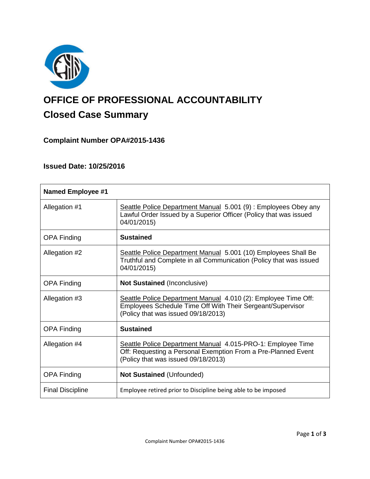

# **OFFICE OF PROFESSIONAL ACCOUNTABILITY Closed Case Summary**

## **Complaint Number OPA#2015-1436**

## **Issued Date: 10/25/2016**

| <b>Named Employee #1</b> |                                                                                                                                                                     |
|--------------------------|---------------------------------------------------------------------------------------------------------------------------------------------------------------------|
| Allegation #1            | Seattle Police Department Manual 5.001 (9): Employees Obey any<br>Lawful Order Issued by a Superior Officer (Policy that was issued<br>04/01/2015)                  |
| <b>OPA Finding</b>       | <b>Sustained</b>                                                                                                                                                    |
| Allegation #2            | Seattle Police Department Manual 5.001 (10) Employees Shall Be<br>Truthful and Complete in all Communication (Policy that was issued<br>04/01/2015)                 |
| <b>OPA Finding</b>       | <b>Not Sustained (Inconclusive)</b>                                                                                                                                 |
| Allegation #3            | Seattle Police Department Manual 4.010 (2): Employee Time Off:<br>Employees Schedule Time Off With Their Sergeant/Supervisor<br>(Policy that was issued 09/18/2013) |
| <b>OPA Finding</b>       | <b>Sustained</b>                                                                                                                                                    |
| Allegation #4            | Seattle Police Department Manual 4.015-PRO-1: Employee Time<br>Off: Requesting a Personal Exemption From a Pre-Planned Event<br>(Policy that was issued 09/18/2013) |
| <b>OPA Finding</b>       | <b>Not Sustained (Unfounded)</b>                                                                                                                                    |
| <b>Final Discipline</b>  | Employee retired prior to Discipline being able to be imposed                                                                                                       |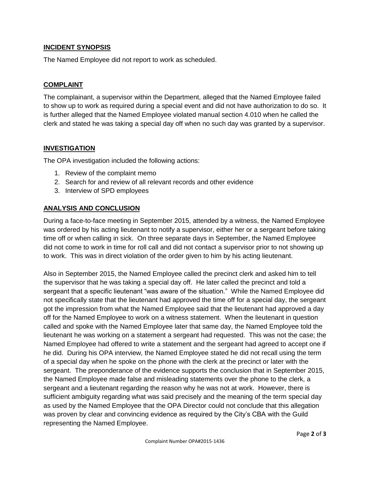## **INCIDENT SYNOPSIS**

The Named Employee did not report to work as scheduled.

#### **COMPLAINT**

The complainant, a supervisor within the Department, alleged that the Named Employee failed to show up to work as required during a special event and did not have authorization to do so. It is further alleged that the Named Employee violated manual section 4.010 when he called the clerk and stated he was taking a special day off when no such day was granted by a supervisor.

## **INVESTIGATION**

The OPA investigation included the following actions:

- 1. Review of the complaint memo
- 2. Search for and review of all relevant records and other evidence
- 3. Interview of SPD employees

## **ANALYSIS AND CONCLUSION**

During a face-to-face meeting in September 2015, attended by a witness, the Named Employee was ordered by his acting lieutenant to notify a supervisor, either her or a sergeant before taking time off or when calling in sick. On three separate days in September, the Named Employee did not come to work in time for roll call and did not contact a supervisor prior to not showing up to work. This was in direct violation of the order given to him by his acting lieutenant.

Also in September 2015, the Named Employee called the precinct clerk and asked him to tell the supervisor that he was taking a special day off. He later called the precinct and told a sergeant that a specific lieutenant "was aware of the situation." While the Named Employee did not specifically state that the lieutenant had approved the time off for a special day, the sergeant got the impression from what the Named Employee said that the lieutenant had approved a day off for the Named Employee to work on a witness statement. When the lieutenant in question called and spoke with the Named Employee later that same day, the Named Employee told the lieutenant he was working on a statement a sergeant had requested. This was not the case; the Named Employee had offered to write a statement and the sergeant had agreed to accept one if he did. During his OPA interview, the Named Employee stated he did not recall using the term of a special day when he spoke on the phone with the clerk at the precinct or later with the sergeant. The preponderance of the evidence supports the conclusion that in September 2015, the Named Employee made false and misleading statements over the phone to the clerk, a sergeant and a lieutenant regarding the reason why he was not at work. However, there is sufficient ambiguity regarding what was said precisely and the meaning of the term special day as used by the Named Employee that the OPA Director could not conclude that this allegation was proven by clear and convincing evidence as required by the City's CBA with the Guild representing the Named Employee.